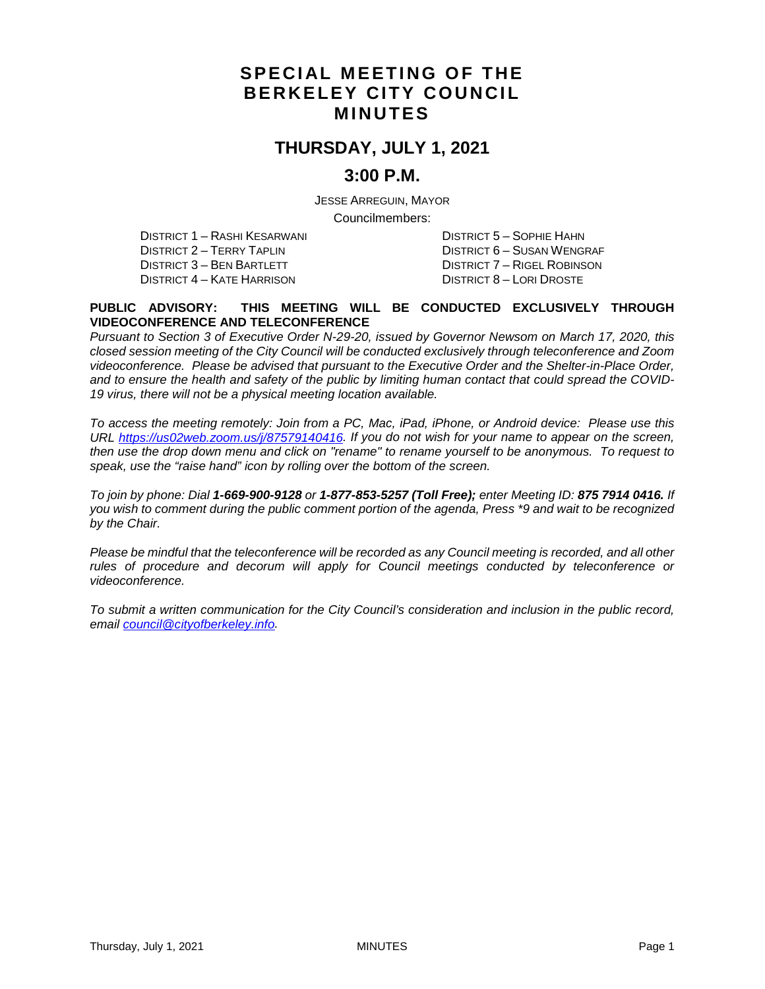# **SPECIAL MEETING OF THE BERKELEY CITY COUNCIL MINUTES**

# **THURSDAY, JULY 1, 2021**

### **3:00 P.M.**

JESSE ARREGUIN, MAYOR

Councilmembers:

DISTRICT 1 – RASHI KESARWANI DISTRICT 5 – SOPHIE HAHN DISTRICT 2 – TERRY TAPLIN DISTRICT 6 – SUSAN WENGRAF DISTRICT 3 – BEN BARTLETT DISTRICT 7 – RIGEL ROBINSON DISTRICT 4 – KATE HARRISON DISTRICT 8 – LORI DROSTE

#### **PUBLIC ADVISORY: THIS MEETING WILL BE CONDUCTED EXCLUSIVELY THROUGH VIDEOCONFERENCE AND TELECONFERENCE**

*Pursuant to Section 3 of Executive Order N-29-20, issued by Governor Newsom on March 17, 2020, this closed session meeting of the City Council will be conducted exclusively through teleconference and Zoom videoconference. Please be advised that pursuant to the Executive Order and the Shelter-in-Place Order, and to ensure the health and safety of the public by limiting human contact that could spread the COVID-19 virus, there will not be a physical meeting location available.* 

*To access the meeting remotely: Join from a PC, Mac, iPad, iPhone, or Android device: Please use this URL [https://us02web.zoom.us/j/87579140416.](https://us02web.zoom.us/j/87579140416) If you do not wish for your name to appear on the screen, then use the drop down menu and click on "rename" to rename yourself to be anonymous. To request to speak, use the "raise hand" icon by rolling over the bottom of the screen.* 

*To join by phone: Dial 1-669-900-9128 or 1-877-853-5257 (Toll Free); enter Meeting ID: 875 7914 0416. If you wish to comment during the public comment portion of the agenda, Press \*9 and wait to be recognized by the Chair.* 

*Please be mindful that the teleconference will be recorded as any Council meeting is recorded, and all other rules of procedure and decorum will apply for Council meetings conducted by teleconference or videoconference.*

*To submit a written communication for the City Council's consideration and inclusion in the public record, email [council@cityofberkeley.info.](mailto:council@cityofberkeley.info)*